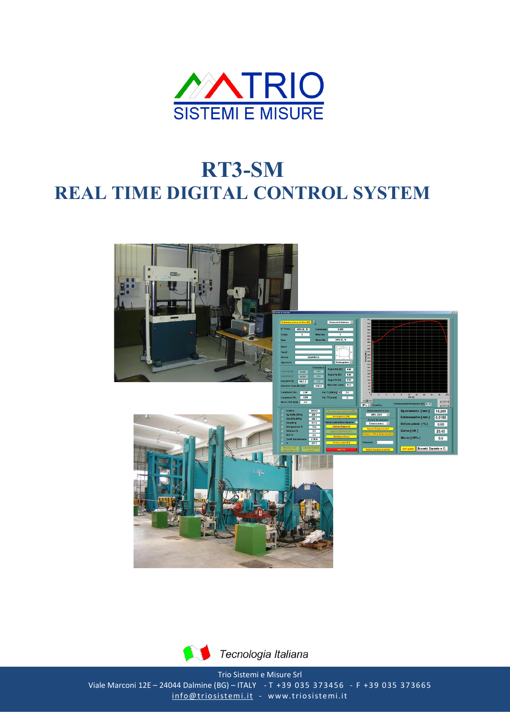

## RT3-SM **REAL TIME DIGITAL CONTROL SYSTEM**





Trio Sistemi e Misure Srl Viale Marconi 12E - 24044 Dalmine (BG) - ITALY - T +39 035 373456 - F +39 035 373665 info@triosistemi.it - www.triosistemi.it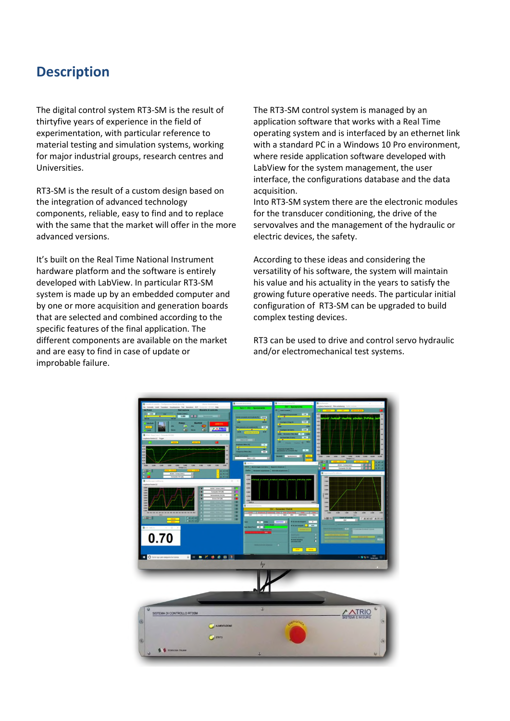## Description

The digital control system RT3-SM is the result of thirtyfive years of experience in the field of experimentation, with particular reference to material testing and simulation systems, working for major industrial groups, research centres and Universities.

RT3-SM is the result of a custom design based on the integration of advanced technology components, reliable, easy to find and to replace with the same that the market will offer in the more advanced versions.

It's built on the Real Time National Instrument hardware platform and the software is entirely developed with LabView. In particular RT3-SM system is made up by an embedded computer and by one or more acquisition and generation boards that are selected and combined according to the specific features of the final application. The different components are available on the market and are easy to find in case of update or improbable failure.

The RT3-SM control system is managed by an application software that works with a Real Time operating system and is interfaced by an ethernet link with a standard PC in a Windows 10 Pro environment, where reside application software developed with LabView for the system management, the user interface, the configurations database and the data acquisition.

Into RT3-SM system there are the electronic modules for the transducer conditioning, the drive of the servovalves and the management of the hydraulic or electric devices, the safety.

According to these ideas and considering the versatility of his software, the system will maintain his value and his actuality in the years to satisfy the growing future operative needs. The particular initial configuration of RT3-SM can be upgraded to build complex testing devices.

RT3 can be used to drive and control servo hydraulic and/or electromechanical test systems.

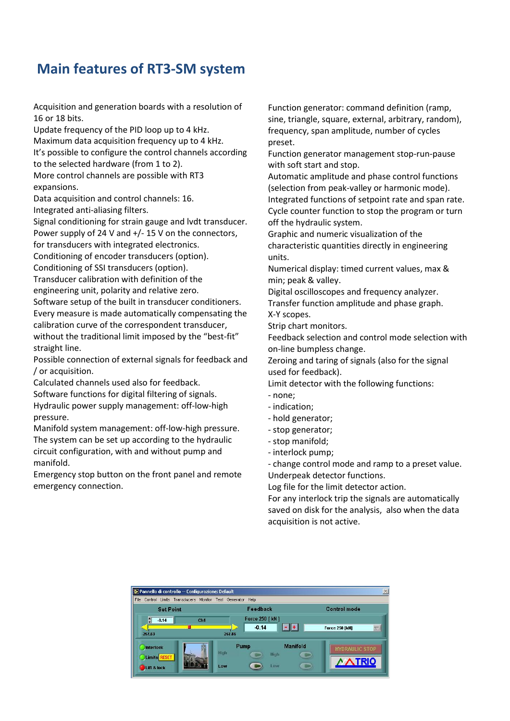## Main features of RT3-SM system

Acquisition and generation boards with a resolution of 16 or 18 bits.

Update frequency of the PID loop up to 4 kHz. Maximum data acquisition frequency up to 4 kHz. It's possible to configure the control channels according to the selected hardware (from 1 to 2).

More control channels are possible with RT3 expansions.

Data acquisition and control channels: 16. Integrated anti-aliasing filters.

Signal conditioning for strain gauge and lvdt transducer. Power supply of 24 V and +/- 15 V on the connectors, for transducers with integrated electronics.

Conditioning of encoder transducers (option). Conditioning of SSI transducers (option).

Transducer calibration with definition of the engineering unit, polarity and relative zero.

Software setup of the built in transducer conditioners. Every measure is made automatically compensating the calibration curve of the correspondent transducer, without the traditional limit imposed by the "best-fit" straight line.

Possible connection of external signals for feedback and / or acquisition.

Calculated channels used also for feedback. Software functions for digital filtering of signals. Hydraulic power supply management: off-low-high pressure.

Manifold system management: off-low-high pressure. The system can be set up according to the hydraulic circuit configuration, with and without pump and manifold.

Emergency stop button on the front panel and remote emergency connection.

Function generator: command definition (ramp, sine, triangle, square, external, arbitrary, random), frequency, span amplitude, number of cycles preset.

Function generator management stop-run-pause with soft start and stop.

Automatic amplitude and phase control functions (selection from peak-valley or harmonic mode).

Integrated functions of setpoint rate and span rate. Cycle counter function to stop the program or turn off the hydraulic system.

Graphic and numeric visualization of the characteristic quantities directly in engineering units.

Numerical display: timed current values, max & min; peak & valley.

Digital oscilloscopes and frequency analyzer. Transfer function amplitude and phase graph. X-Y scopes.

Strip chart monitors.

Feedback selection and control mode selection with on-line bumpless change.

Zeroing and taring of signals (also for the signal used for feedback).

Limit detector with the following functions:

- none;

- indication;
- hold generator;
- stop generator;
- stop manifold;
- interlock pump;

- change control mode and ramp to a preset value. Underpeak detector functions.

Log file for the limit detector action.

For any interlock trip the signals are automatically saved on disk for the analysis, also when the data acquisition is not active.